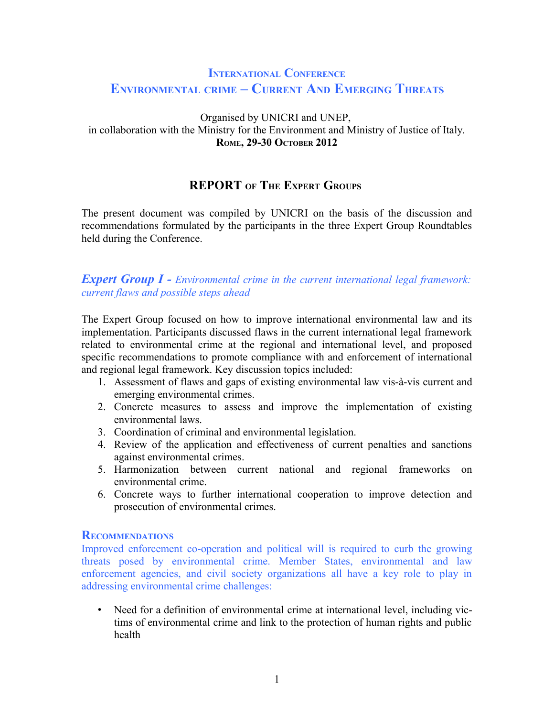# **INTERNATIONAL CONFERENCE ENVIRONMENTAL CRIME – CURRENT AND EMERGING THREATS**

#### Organised by UNICRI and UNEP, in collaboration with the Ministry for the Environment and Ministry of Justice of Italy. **ROME, 29-30 OCTOBER 2012**

## **REPORT OF THE EXPERT GROUPS**

The present document was compiled by UNICRI on the basis of the discussion and recommendations formulated by the participants in the three Expert Group Roundtables held during the Conference.

*Expert Group I - Environmental crime in the current international legal framework: current flaws and possible steps ahead*

The Expert Group focused on how to improve international environmental law and its implementation. Participants discussed flaws in the current international legal framework related to environmental crime at the regional and international level, and proposed specific recommendations to promote compliance with and enforcement of international and regional legal framework. Key discussion topics included:

- 1. Assessment of flaws and gaps of existing environmental law vis-à-vis current and emerging environmental crimes.
- 2. Concrete measures to assess and improve the implementation of existing environmental laws.
- 3. Coordination of criminal and environmental legislation.
- 4. Review of the application and effectiveness of current penalties and sanctions against environmental crimes.
- 5. Harmonization between current national and regional frameworks on environmental crime.
- 6. Concrete ways to further international cooperation to improve detection and prosecution of environmental crimes.

#### **RECOMMENDATIONS**

Improved enforcement co-operation and political will is required to curb the growing threats posed by environmental crime. Member States, environmental and law enforcement agencies, and civil society organizations all have a key role to play in addressing environmental crime challenges:

• Need for a definition of environmental crime at international level, including victims of environmental crime and link to the protection of human rights and public health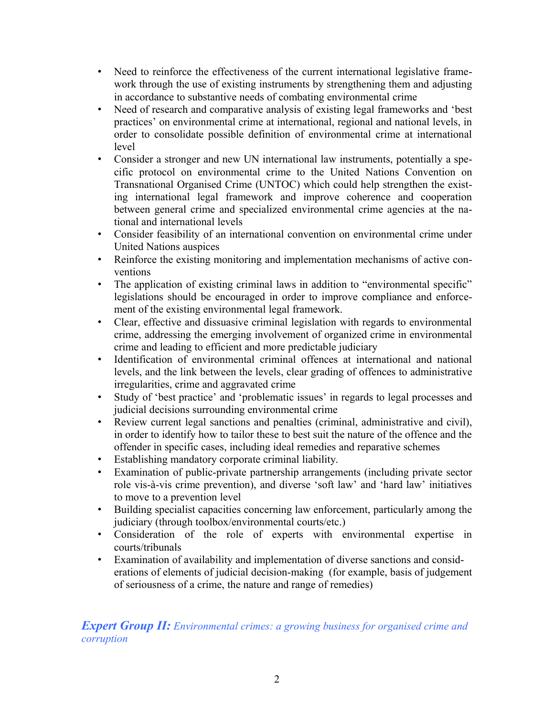- Need to reinforce the effectiveness of the current international legislative framework through the use of existing instruments by strengthening them and adjusting in accordance to substantive needs of combating environmental crime
- Need of research and comparative analysis of existing legal frameworks and 'best practices' on environmental crime at international, regional and national levels, in order to consolidate possible definition of environmental crime at international level
- Consider a stronger and new UN international law instruments, potentially a specific protocol on environmental crime to the United Nations Convention on Transnational Organised Crime (UNTOC) which could help strengthen the existing international legal framework and improve coherence and cooperation between general crime and specialized environmental crime agencies at the national and international levels
- Consider feasibility of an international convention on environmental crime under United Nations auspices
- Reinforce the existing monitoring and implementation mechanisms of active conventions
- The application of existing criminal laws in addition to "environmental specific" legislations should be encouraged in order to improve compliance and enforcement of the existing environmental legal framework.
- Clear, effective and dissuasive criminal legislation with regards to environmental crime, addressing the emerging involvement of organized crime in environmental crime and leading to efficient and more predictable judiciary
- Identification of environmental criminal offences at international and national levels, and the link between the levels, clear grading of offences to administrative irregularities, crime and aggravated crime
- Study of 'best practice' and 'problematic issues' in regards to legal processes and judicial decisions surrounding environmental crime
- Review current legal sanctions and penalties (criminal, administrative and civil), in order to identify how to tailor these to best suit the nature of the offence and the offender in specific cases, including ideal remedies and reparative schemes
- Establishing mandatory corporate criminal liability.
- Examination of public-private partnership arrangements (including private sector role vis-à-vis crime prevention), and diverse 'soft law' and 'hard law' initiatives to move to a prevention level
- Building specialist capacities concerning law enforcement, particularly among the judiciary (through toolbox/environmental courts/etc.)
- Consideration of the role of experts with environmental expertise in courts/tribunals
- Examination of availability and implementation of diverse sanctions and considerations of elements of judicial decision-making (for example, basis of judgement of seriousness of a crime, the nature and range of remedies)

*Expert Group II: Environmental crimes: a growing business for organised crime and corruption*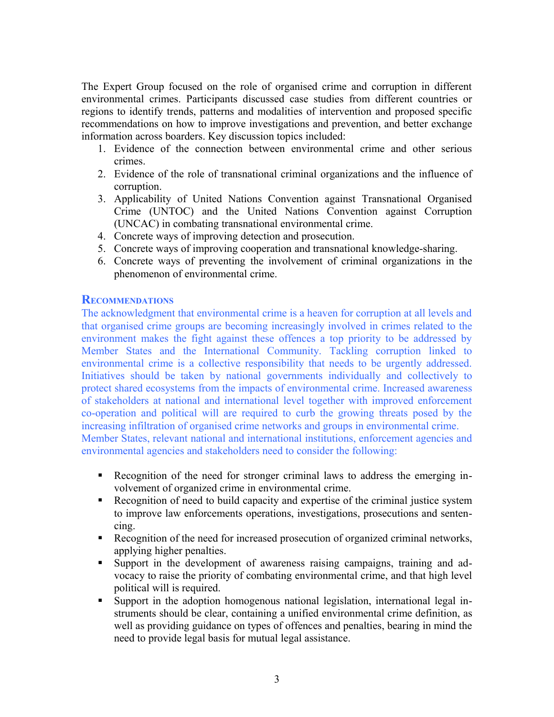The Expert Group focused on the role of organised crime and corruption in different environmental crimes. Participants discussed case studies from different countries or regions to identify trends, patterns and modalities of intervention and proposed specific recommendations on how to improve investigations and prevention, and better exchange information across boarders. Key discussion topics included:

- 1. Evidence of the connection between environmental crime and other serious crimes.
- 2. Evidence of the role of transnational criminal organizations and the influence of corruption.
- 3. Applicability of United Nations Convention against Transnational Organised Crime (UNTOC) and the United Nations Convention against Corruption (UNCAC) in combating transnational environmental crime.
- 4. Concrete ways of improving detection and prosecution.
- 5. Concrete ways of improving cooperation and transnational knowledge-sharing.
- 6. Concrete ways of preventing the involvement of criminal organizations in the phenomenon of environmental crime.

#### **RECOMMENDATIONS**

The acknowledgment that environmental crime is a heaven for corruption at all levels and that organised crime groups are becoming increasingly involved in crimes related to the environment makes the fight against these offences a top priority to be addressed by Member States and the International Community. Tackling corruption linked to environmental crime is a collective responsibility that needs to be urgently addressed. Initiatives should be taken by national governments individually and collectively to protect shared ecosystems from the impacts of environmental crime. Increased awareness of stakeholders at national and international level together with improved enforcement co-operation and political will are required to curb the growing threats posed by the increasing infiltration of organised crime networks and groups in environmental crime. Member States, relevant national and international institutions, enforcement agencies and

environmental agencies and stakeholders need to consider the following:

- Recognition of the need for stronger criminal laws to address the emerging involvement of organized crime in environmental crime.
- Recognition of need to build capacity and expertise of the criminal justice system to improve law enforcements operations, investigations, prosecutions and sentencing.
- Recognition of the need for increased prosecution of organized criminal networks, applying higher penalties.
- Support in the development of awareness raising campaigns, training and advocacy to raise the priority of combating environmental crime, and that high level political will is required.
- Support in the adoption homogenous national legislation, international legal instruments should be clear, containing a unified environmental crime definition, as well as providing guidance on types of offences and penalties, bearing in mind the need to provide legal basis for mutual legal assistance.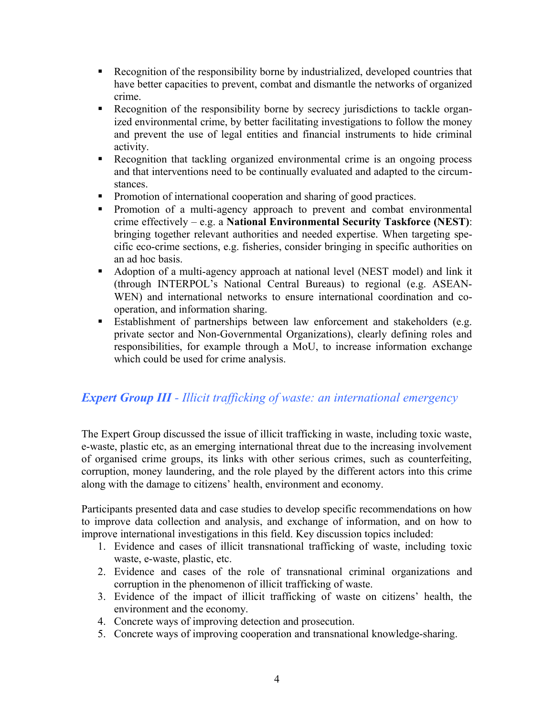- Recognition of the responsibility borne by industrialized, developed countries that have better capacities to prevent, combat and dismantle the networks of organized crime.
- Recognition of the responsibility borne by secrecy jurisdictions to tackle organized environmental crime, by better facilitating investigations to follow the money and prevent the use of legal entities and financial instruments to hide criminal activity.
- Recognition that tackling organized environmental crime is an ongoing process and that interventions need to be continually evaluated and adapted to the circumstances.
- Promotion of international cooperation and sharing of good practices.
- **Promotion of a multi-agency approach to prevent and combat environmental** crime effectively – e.g. a **National Environmental Security Taskforce (NEST)**: bringing together relevant authorities and needed expertise. When targeting specific eco-crime sections, e.g. fisheries, consider bringing in specific authorities on an ad hoc basis.
- Adoption of a multi-agency approach at national level (NEST model) and link it (through INTERPOL's National Central Bureaus) to regional (e.g. ASEAN-WEN) and international networks to ensure international coordination and cooperation, and information sharing.
- Establishment of partnerships between law enforcement and stakeholders (e.g. private sector and Non-Governmental Organizations), clearly defining roles and responsibilities, for example through a MoU, to increase information exchange which could be used for crime analysis.

# *Expert Group III - Illicit trafficking of waste: an international emergency*

The Expert Group discussed the issue of illicit trafficking in waste, including toxic waste, e-waste, plastic etc, as an emerging international threat due to the increasing involvement of organised crime groups, its links with other serious crimes, such as counterfeiting, corruption, money laundering, and the role played by the different actors into this crime along with the damage to citizens' health, environment and economy.

Participants presented data and case studies to develop specific recommendations on how to improve data collection and analysis, and exchange of information, and on how to improve international investigations in this field. Key discussion topics included:

- 1. Evidence and cases of illicit transnational trafficking of waste, including toxic waste, e-waste, plastic, etc.
- 2. Evidence and cases of the role of transnational criminal organizations and corruption in the phenomenon of illicit trafficking of waste.
- 3. Evidence of the impact of illicit trafficking of waste on citizens' health, the environment and the economy.
- 4. Concrete ways of improving detection and prosecution.
- 5. Concrete ways of improving cooperation and transnational knowledge-sharing.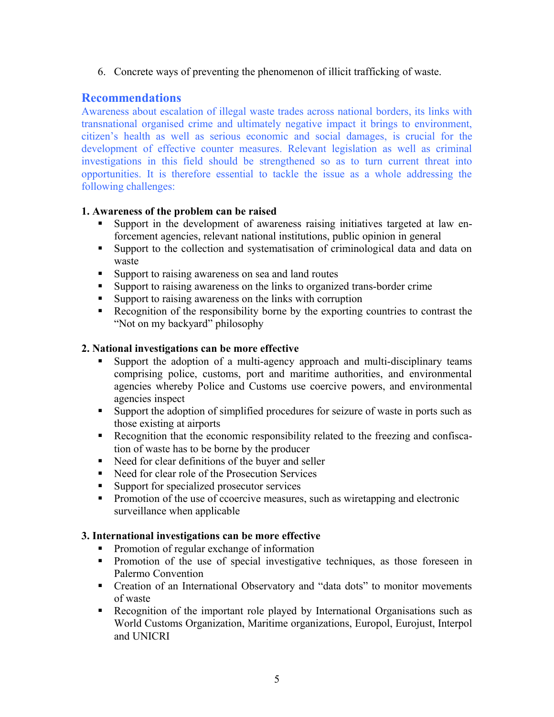6. Concrete ways of preventing the phenomenon of illicit trafficking of waste.

## **Recommendations**

Awareness about escalation of illegal waste trades across national borders, its links with transnational organised crime and ultimately negative impact it brings to environment, citizen's health as well as serious economic and social damages, is crucial for the development of effective counter measures. Relevant legislation as well as criminal investigations in this field should be strengthened so as to turn current threat into opportunities. It is therefore essential to tackle the issue as a whole addressing the following challenges:

### **1. Awareness of the problem can be raised**

- Support in the development of awareness raising initiatives targeted at law enforcement agencies, relevant national institutions, public opinion in general
- Support to the collection and systematisation of criminological data and data on waste
- **Support to raising awareness on sea and land routes**
- Support to raising awareness on the links to organized trans-border crime
- Support to raising awareness on the links with corruption
- Recognition of the responsibility borne by the exporting countries to contrast the "Not on my backyard" philosophy

### **2. National investigations can be more effective**

- Support the adoption of a multi-agency approach and multi-disciplinary teams comprising police, customs, port and maritime authorities, and environmental agencies whereby Police and Customs use coercive powers, and environmental agencies inspect
- Support the adoption of simplified procedures for seizure of waste in ports such as those existing at airports
- Recognition that the economic responsibility related to the freezing and confiscation of waste has to be borne by the producer
- Need for clear definitions of the buyer and seller
- Need for clear role of the Prosecution Services
- Support for specialized prosecutor services
- **Promotion of the use of ccoercive measures, such as wiretapping and electronic** surveillance when applicable

#### **3. International investigations can be more effective**

- Promotion of regular exchange of information
- Promotion of the use of special investigative techniques, as those foreseen in Palermo Convention
- Creation of an International Observatory and "data dots" to monitor movements of waste
- Recognition of the important role played by International Organisations such as World Customs Organization, Maritime organizations, Europol, Eurojust, Interpol and UNICRI